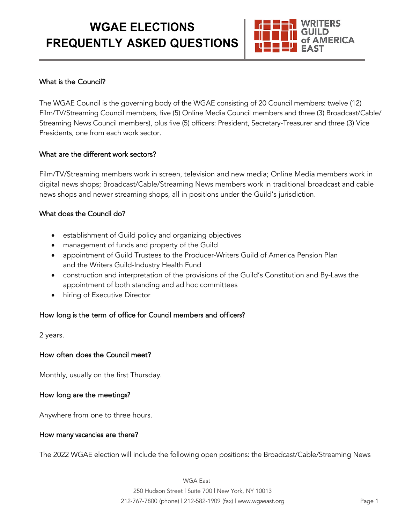# **WGAE ELECTIONS FREQUENTLY ASKED QUESTIONS**



# What is the Council?

The WGAE Council is the governing body of the WGAE consisting of 20 Council members: twelve (12) Film/TV/Streaming Council members, five (5) Online Media Council members and three (3) Broadcast/Cable/ Streaming News Council members), plus five (5) officers: President, Secretary-Treasurer and three (3) Vice Presidents, one from each work sector.

#### What are the different work sectors?

Film/TV/Streaming members work in screen, television and new media; Online Media members work in digital news shops; Broadcast/Cable/Streaming News members work in traditional broadcast and cable news shops and newer streaming shops, all in positions under the Guild's jurisdiction.

#### What does the Council do?

- establishment of Guild policy and organizing objectives
- management of funds and property of the Guild
- appointment of Guild Trustees to the Producer-Writers Guild of America Pension Plan and the Writers Guild-Industry Health Fund
- construction and interpretation of the provisions of the Guild's Constitution and By-Laws the appointment of both standing and ad hoc committees
- hiring of Executive Director

# How long is the term of office for Council members and officers?

2 years.

#### How often does the Council meet?

Monthly, usually on the first Thursday.

# How long are the meetings?

Anywhere from one to three hours.

#### How many vacancies are there?

The 2022 WGAE election will include the following open positions: the Broadcast/Cable/Streaming News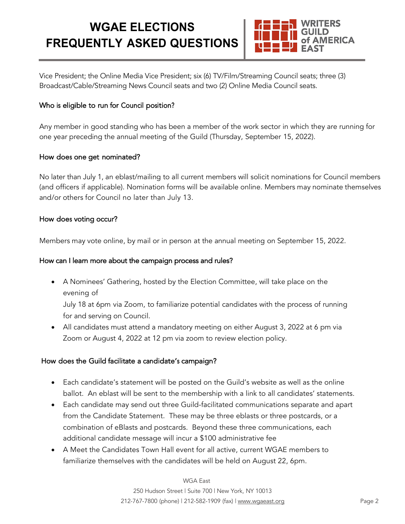# **WGAE ELECTIONS FREQUENTLY ASKED QUESTIONS**



Vice President; the Online Media Vice President; six (6) TV/Film/Streaming Council seats; three (3) Broadcast/Cable/Streaming News Council seats and two (2) Online Media Council seats.

# Who is eligible to run for Council position?

Any member in good standing who has been a member of the work sector in which they are running for one year preceding the annual meeting of the Guild (Thursday, September 15, 2022).

# How does one get nominated?

No later than July 1, an eblast/mailing to all current members will solicit nominations for Council members (and officers if applicable). Nomination forms will be available online. Members may nominate themselves and/or others for Council no later than July 13.

#### How does voting occur?

Members may vote online, by mail or in person at the annual meeting on September 15, 2022.

### How can I learn more about the campaign process and rules?

- A Nominees' Gathering, hosted by the Election Committee, will take place on the evening of July 18 at 6pm via Zoom, to familiarize potential candidates with the process of running for and serving on Council.
- All candidates must attend a mandatory meeting on either August 3, 2022 at 6 pm via Zoom or August 4, 2022 at 12 pm via zoom to review election policy.

# How does the Guild facilitate a candidate's campaign?

- Each candidate's statement will be posted on the Guild's website as well as the online ballot. An eblast will be sent to the membership with a link to all candidates' statements.
- Each candidate may send out three Guild-facilitated communications separate and apart from the Candidate Statement. These may be three eblasts or three postcards, or a combination of eBlasts and postcards. Beyond these three communications, each additional candidate message will incur a \$100 administrative fee
- A Meet the Candidates Town Hall event for all active, current WGAE members to familiarize themselves with the candidates will be held on August 22, 6pm.

#### WGA East